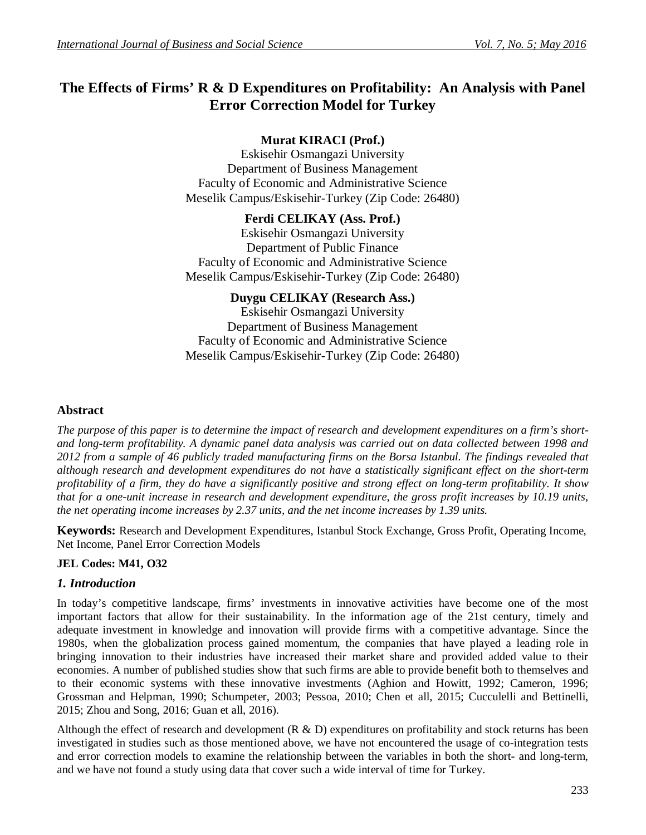# **The Effects of Firms' R & D Expenditures on Profitability: An Analysis with Panel Error Correction Model for Turkey**

# **Murat KIRACI (Prof.)**

Eskisehir Osmangazi University Department of Business Management Faculty of Economic and Administrative Science Meselik Campus/Eskisehir-Turkey (Zip Code: 26480)

# **Ferdi CELIKAY (Ass. Prof.)**

Eskisehir Osmangazi University Department of Public Finance Faculty of Economic and Administrative Science Meselik Campus/Eskisehir-Turkey (Zip Code: 26480)

### **Duygu CELIKAY (Research Ass.)**

Eskisehir Osmangazi University Department of Business Management Faculty of Economic and Administrative Science Meselik Campus/Eskisehir-Turkey (Zip Code: 26480)

### **Abstract**

*The purpose of this paper is to determine the impact of research and development expenditures on a firm's shortand long-term profitability. A dynamic panel data analysis was carried out on data collected between 1998 and* 2012 from a sample of 46 publicly traded manufacturing firms on the Borsa Istanbul. The findings revealed that *although research and development expenditures do not have a statistically significant effect on the short-term profitability of a firm, they do have a significantly positive and strong effect on long-term profitability. It show that for a one-unit increase in research and development expenditure, the gross profit increases by 10.19 units, the net operating income increases by 2.37 units, and the net income increases by 1.39 units.*

**Keywords:** Research and Development Expenditures, Istanbul Stock Exchange, Gross Profit, Operating Income, Net Income, Panel Error Correction Models

### **JEL Codes: M41, O32**

### *1. Introduction*

In today's competitive landscape, firms' investments in innovative activities have become one of the most important factors that allow for their sustainability. In the information age of the 21st century, timely and adequate investment in knowledge and innovation will provide firms with a competitive advantage. Since the 1980s, when the globalization process gained momentum, the companies that have played a leading role in bringing innovation to their industries have increased their market share and provided added value to their economies. A number of published studies show that such firms are able to provide benefit both to themselves and to their economic systems with these innovative investments (Aghion and Howitt, 1992; Cameron, 1996; Grossman and Helpman, 1990; Schumpeter, 2003; Pessoa, 2010; Chen et all, 2015; Cucculelli and Bettinelli, 2015; Zhou and Song, 2016; Guan et all, 2016).

Although the effect of research and development  $(R \& D)$  expenditures on profitability and stock returns has been investigated in studies such as those mentioned above, we have not encountered the usage of co-integration tests and error correction models to examine the relationship between the variables in both the short- and long-term, and we have not found a study using data that cover such a wide interval of time for Turkey.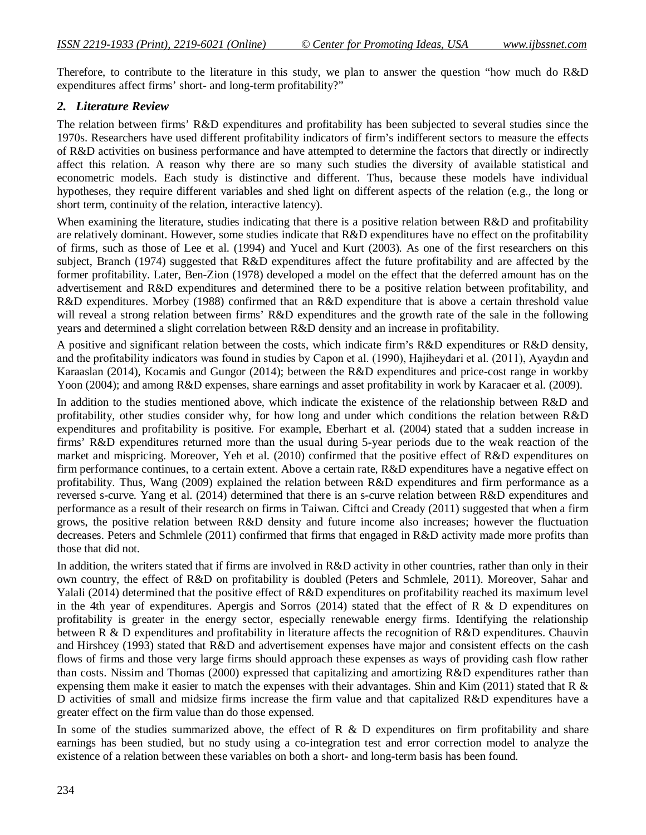Therefore, to contribute to the literature in this study, we plan to answer the question "how much do R&D expenditures affect firms' short- and long-term profitability?"

### *2. Literature Review*

The relation between firms' R&D expenditures and profitability has been subjected to several studies since the 1970s. Researchers have used different profitability indicators of firm's indifferent sectors to measure the effects of R&D activities on business performance and have attempted to determine the factors that directly or indirectly affect this relation. A reason why there are so many such studies the diversity of available statistical and econometric models. Each study is distinctive and different. Thus, because these models have individual hypotheses, they require different variables and shed light on different aspects of the relation (e.g., the long or short term, continuity of the relation, interactive latency).

When examining the literature, studies indicating that there is a positive relation between R&D and profitability are relatively dominant. However, some studies indicate that R&D expenditures have no effect on the profitability of firms, such as those of Lee et al. (1994) and Yucel and Kurt (2003). As one of the first researchers on this subject, Branch (1974) suggested that R&D expenditures affect the future profitability and are affected by the former profitability. Later, Ben-Zion (1978) developed a model on the effect that the deferred amount has on the advertisement and R&D expenditures and determined there to be a positive relation between profitability, and R&D expenditures. Morbey (1988) confirmed that an R&D expenditure that is above a certain threshold value will reveal a strong relation between firms' R&D expenditures and the growth rate of the sale in the following years and determined a slight correlation between R&D density and an increase in profitability.

A positive and significant relation between the costs, which indicate firm's R&D expenditures or R&D density, and the profitability indicators was found in studies by Capon et al. (1990), Hajiheydari et al. (2011), Ayaydın and Karaaslan (2014), Kocamis and Gungor (2014); between the R&D expenditures and price-cost range in workby Yoon (2004); and among R&D expenses, share earnings and asset profitability in work by Karacaer et al. (2009).

In addition to the studies mentioned above, which indicate the existence of the relationship between R&D and profitability, other studies consider why, for how long and under which conditions the relation between R&D expenditures and profitability is positive. For example, Eberhart et al. (2004) stated that a sudden increase in firms' R&D expenditures returned more than the usual during 5-year periods due to the weak reaction of the market and mispricing. Moreover, Yeh et al. (2010) confirmed that the positive effect of R&D expenditures on firm performance continues, to a certain extent. Above a certain rate, R&D expenditures have a negative effect on profitability. Thus, Wang (2009) explained the relation between R&D expenditures and firm performance as a reversed s-curve. Yang et al. (2014) determined that there is an s-curve relation between R&D expenditures and performance as a result of their research on firms in Taiwan. Ciftci and Cready (2011) suggested that when a firm grows, the positive relation between R&D density and future income also increases; however the fluctuation decreases. Peters and Schmlele (2011) confirmed that firms that engaged in R&D activity made more profits than those that did not.

In addition, the writers stated that if firms are involved in R&D activity in other countries, rather than only in their own country, the effect of R&D on profitability is doubled (Peters and Schmlele, 2011). Moreover, Sahar and Yalali (2014) determined that the positive effect of R&D expenditures on profitability reached its maximum level in the 4th year of expenditures. Apergis and Sorros (2014) stated that the effect of R & D expenditures on profitability is greater in the energy sector, especially renewable energy firms. Identifying the relationship between R & D expenditures and profitability in literature affects the recognition of R&D expenditures. Chauvin and Hirshcey (1993) stated that R&D and advertisement expenses have major and consistent effects on the cash flows of firms and those very large firms should approach these expenses as ways of providing cash flow rather than costs. Nissim and Thomas (2000) expressed that capitalizing and amortizing R&D expenditures rather than expensing them make it easier to match the expenses with their advantages. Shin and Kim (2011) stated that R  $\&$ D activities of small and midsize firms increase the firm value and that capitalized R&D expenditures have a greater effect on the firm value than do those expensed.

In some of the studies summarized above, the effect of R  $\&$  D expenditures on firm profitability and share earnings has been studied, but no study using a co-integration test and error correction model to analyze the existence of a relation between these variables on both a short- and long-term basis has been found.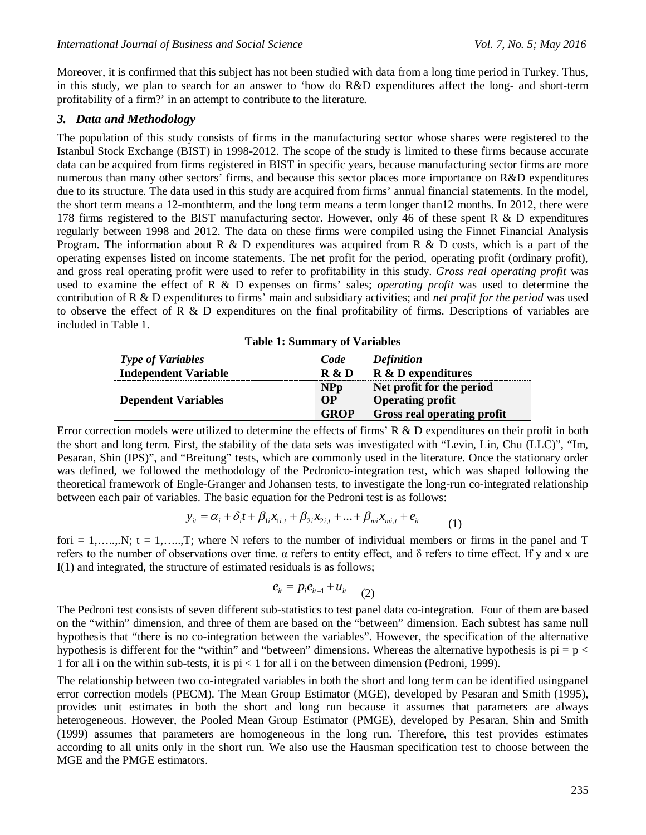Moreover, it is confirmed that this subject has not been studied with data from a long time period in Turkey. Thus, in this study, we plan to search for an answer to 'how do R&D expenditures affect the long- and short-term profitability of a firm?' in an attempt to contribute to the literature.

## *3. Data and Methodology*

The population of this study consists of firms in the manufacturing sector whose shares were registered to the Istanbul Stock Exchange (BIST) in 1998-2012. The scope of the study is limited to these firms because accurate data can be acquired from firms registered in BIST in specific years, because manufacturing sector firms are more numerous than many other sectors' firms, and because this sector places more importance on R&D expenditures due to its structure. The data used in this study are acquired from firms' annual financial statements. In the model, the short term means a 12-monthterm, and the long term means a term longer than12 months. In 2012, there were 178 firms registered to the BIST manufacturing sector. However, only 46 of these spent R & D expenditures regularly between 1998 and 2012. The data on these firms were compiled using the Finnet Financial Analysis Program. The information about R & D expenditures was acquired from R & D costs, which is a part of the operating expenses listed on income statements. The net profit for the period, operating profit (ordinary profit), and gross real operating profit were used to refer to profitability in this study. *Gross real operating profit* was used to examine the effect of R & D expenses on firms' sales; *operating profit* was used to determine the contribution of R & D expenditures to firms' main and subsidiary activities; and *net profit for the period* was used to observe the effect of R & D expenditures on the final profitability of firms. Descriptions of variables are included in Table 1.

| <b>Type of Variables</b>    | Code        | <b>Definition</b>                |
|-----------------------------|-------------|----------------------------------|
| <b>Independent Variable</b> | R & D       | <b>R</b> & <b>D</b> expenditures |
|                             | <b>NPp</b>  | Net profit for the period        |
| <b>Dependent Variables</b>  | <b>OP</b>   | <b>Operating profit</b>          |
|                             | <b>GROP</b> | Gross real operating profit      |

**Table 1: Summary of Variables**

Error correction models were utilized to determine the effects of firms' R & D expenditures on their profit in both the short and long term. First, the stability of the data sets was investigated with "Levin, Lin, Chu (LLC)", "Im, Pesaran, Shin (IPS)", and "Breitung" tests, which are commonly used in the literature. Once the stationary order was defined, we followed the methodology of the Pedronico-integration test, which was shaped following the theoretical framework of Engle-Granger and Johansen tests, to investigate the long-run co-integrated relationship between each pair of variables. The basic equation for the Pedroni test is as follows:

$$
y_{it} = \alpha_i + \delta_i t + \beta_{1i} x_{1i, t} + \beta_{2i} x_{2i, t} + \dots + \beta_{mi} x_{mi, t} + e_{it}
$$
 (1)

fori = 1,……,N; t = 1,……,T; where N refers to the number of individual members or firms in the panel and T refers to the number of observations over time.  $\alpha$  refers to entity effect, and δ refers to time effect. If y and x are I(1) and integrated, the structure of estimated residuals is as follows;

$$
e_{it}=p_ie_{it-1}+u_{it} \hspace{10pt}(2)
$$

The Pedroni test consists of seven different sub-statistics to test panel data co-integration. Four of them are based on the "within" dimension, and three of them are based on the "between" dimension. Each subtest has same null hypothesis that "there is no co-integration between the variables". However, the specification of the alternative hypothesis is different for the "within" and "between" dimensions. Whereas the alternative hypothesis is  $pi = p <$ 1 for all i on the within sub-tests, it is pi < 1 for all i on the between dimension (Pedroni, 1999).

The relationship between two co-integrated variables in both the short and long term can be identified usingpanel error correction models (PECM). The Mean Group Estimator (MGE), developed by Pesaran and Smith (1995), provides unit estimates in both the short and long run because it assumes that parameters are always heterogeneous. However, the Pooled Mean Group Estimator (PMGE), developed by Pesaran, Shin and Smith (1999) assumes that parameters are homogeneous in the long run. Therefore, this test provides estimates according to all units only in the short run. We also use the Hausman specification test to choose between the MGE and the PMGE estimators.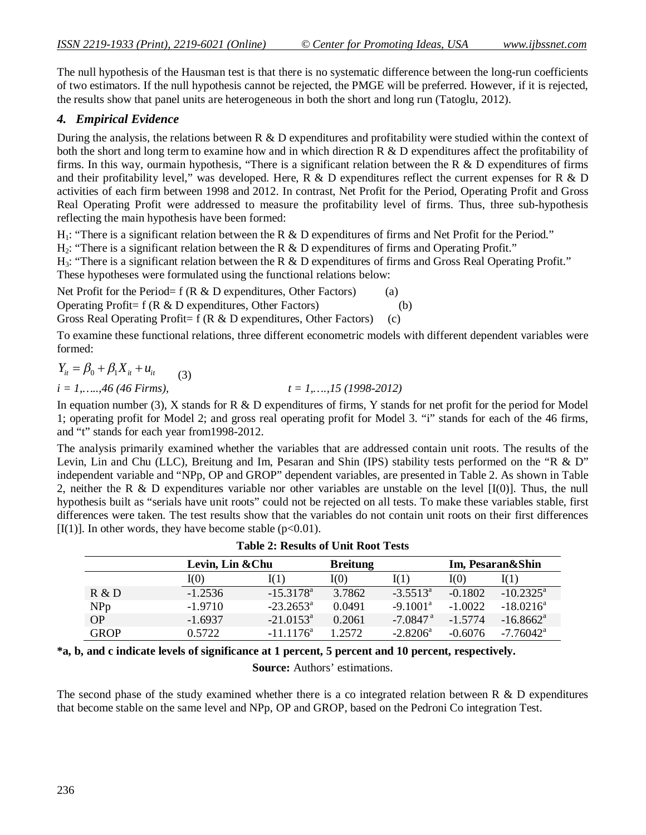The null hypothesis of the Hausman test is that there is no systematic difference between the long-run coefficients of two estimators. If the null hypothesis cannot be rejected, the PMGE will be preferred. However, if it is rejected, the results show that panel units are heterogeneous in both the short and long run (Tatoglu, 2012).

# *4. Empirical Evidence*

During the analysis, the relations between R & D expenditures and profitability were studied within the context of both the short and long term to examine how and in which direction R & D expenditures affect the profitability of firms. In this way, ourmain hypothesis, "There is a significant relation between the R  $\&$  D expenditures of firms and their profitability level," was developed. Here,  $\overline{R} \& D$  expenditures reflect the current expenses for R  $\& D$ activities of each firm between 1998 and 2012. In contrast, Net Profit for the Period, Operating Profit and Gross Real Operating Profit were addressed to measure the profitability level of firms. Thus, three sub-hypothesis reflecting the main hypothesis have been formed:

H<sub>1</sub>: "There is a significant relation between the R & D expenditures of firms and Net Profit for the Period."

 $H_2$ : "There is a significant relation between the R & D expenditures of firms and Operating Profit."

H<sub>3</sub>: "There is a significant relation between the R & D expenditures of firms and Gross Real Operating Profit." These hypotheses were formulated using the functional relations below:

Net Profit for the Period= f ( $R \& D$  expenditures, Other Factors) (a) Operating Profit= f (R & D expenditures, Other Factors) (b) Gross Real Operating Profit=  $f(R & D$  expenditures, Other Factors) (c)

To examine these functional relations, three different econometric models with different dependent variables were formed:

$$
Y_{it} = \beta_0 + \beta_1 X_{it} + u_{it}
$$
 (3)

 $i = 1, \ldots, 46$  (46 Firms),  $t = 1, \ldots, 15$  (1998-2012)

In equation number (3),  $X$  stands for  $R \& D$  expenditures of firms,  $Y$  stands for net profit for the period for Model 1; operating profit for Model 2; and gross real operating profit for Model 3. "i" stands for each of the 46 firms, and "t" stands for each year from1998-2012.

The analysis primarily examined whether the variables that are addressed contain unit roots. The results of the Levin, Lin and Chu (LLC), Breitung and Im, Pesaran and Shin (IPS) stability tests performed on the "R & D" independent variable and "NPp, OP and GROP" dependent variables, are presented in Table 2. As shown in Table 2, neither the R & D expenditures variable nor other variables are unstable on the level  $[I(0)]$ . Thus, the null hypothesis built as "serials have unit roots" could not be rejected on all tests. To make these variables stable, first differences were taken. The test results show that the variables do not contain unit roots on their first differences [I(1)]. In other words, they have become stable ( $p<0.01$ ).

|             |           | Levin, Lin & Chu   |         | <b>Breitung</b>        |           | Im, Pesaran&Shin        |  |
|-------------|-----------|--------------------|---------|------------------------|-----------|-------------------------|--|
|             | I(0)      | I(1)               | I(0)    | I(1)                   | I(0)      | I(1)                    |  |
| R & D       | $-1.2536$ | $-15.3178^{\circ}$ | 3.7862  | $-3.5513^{\circ}$      | $-0.1802$ | $-10.2325^{\text{a}}$   |  |
| <b>NPp</b>  | $-1.9710$ | $-23.2653^{\circ}$ | 0.0491  | $-9.1001^{\text{a}}$   | $-1.0022$ | $-18.0216^a$            |  |
| <b>OP</b>   | $-1.6937$ | $-21.0153^{\circ}$ | 0.2061  | $-7.0847$ <sup>a</sup> | $-1.5774$ | $-16.8662$ <sup>a</sup> |  |
| <b>GROP</b> | 0.5722    | $-11.1176^a$       | 1 2572. | $-2.8206^a$            | $-0.6076$ | $-7.76042$ <sup>a</sup> |  |

| <b>Table 2: Results of Unit Root Tests</b> |  |  |
|--------------------------------------------|--|--|
|--------------------------------------------|--|--|

**\*a, b, and c indicate levels of significance at 1 percent, 5 percent and 10 percent, respectively.**

**Source:** Authors' estimations.

The second phase of the study examined whether there is a co integrated relation between R & D expenditures that become stable on the same level and NPp, OP and GROP, based on the Pedroni Co integration Test.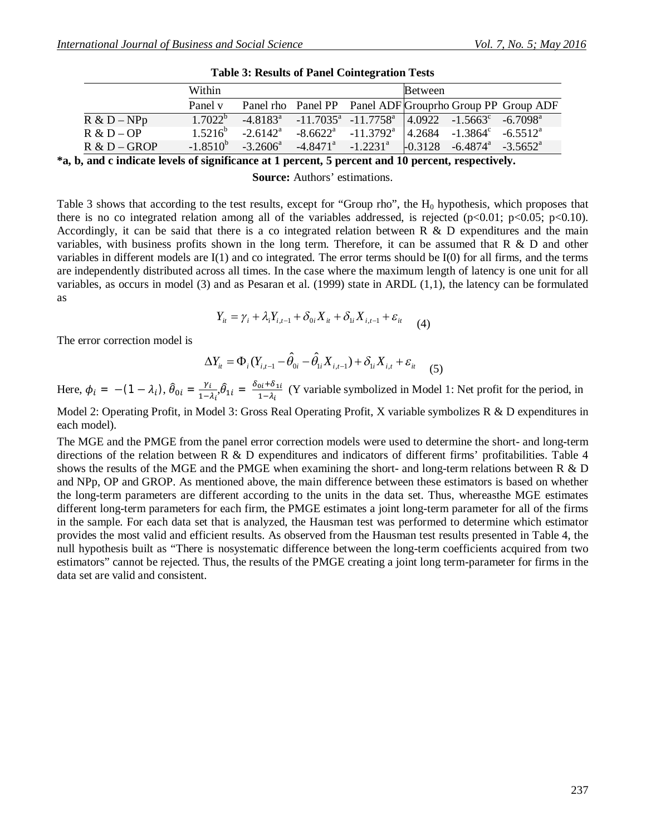|                | Within           |                      |                         |                                                                                           | <b>Between</b>             |                                                           |
|----------------|------------------|----------------------|-------------------------|-------------------------------------------------------------------------------------------|----------------------------|-----------------------------------------------------------|
|                | Panel v          |                      |                         |                                                                                           |                            | Panel rho Panel PP Panel ADF Group rho Group PP Group ADF |
| $R & D - NPp$  | $1.7022^{\circ}$ | $-4.8183^{\circ}$    |                         | $-11.7035^a$ $-11.7758^a$ $ 4.0922$ $-1.5663^c$ $-6.7098^a$                               |                            |                                                           |
| $R & D - OP$   | $1.5216^b$       | $-2.6142^{\text{a}}$ |                         | $-8.6622^{\circ}$ $-11.3792^{\circ}$ $\vert 4.2684 \; -1.3864^{\circ} \; -6.5512^{\circ}$ |                            |                                                           |
| $R & D - GROP$ | $-1.8510^{b}$    | $-3.2606^{\circ}$    | $-4.8471^a$ $-1.2231^a$ |                                                                                           | $-0.3128 - 6.4874^{\circ}$ | $-3.5652^{\circ}$                                         |

|  |  |  | <b>Table 3: Results of Panel Cointegration Tests</b> |  |
|--|--|--|------------------------------------------------------|--|
|--|--|--|------------------------------------------------------|--|

**\*a, b, and c indicate levels of significance at 1 percent, 5 percent and 10 percent, respectively.**

**Source:** Authors' estimations.

Table 3 shows that according to the test results, except for "Group rho", the  $H_0$  hypothesis, which proposes that there is no co integrated relation among all of the variables addressed, is rejected ( $p<0.01$ ;  $p<0.05$ ;  $p<0.10$ ). Accordingly, it can be said that there is a co integrated relation between R & D expenditures and the main variables, with business profits shown in the long term. Therefore, it can be assumed that R & D and other variables in different models are I(1) and co integrated. The error terms should be I(0) for all firms, and the terms are independently distributed across all times. In the case where the maximum length of latency is one unit for all variables, as occurs in model (3) and as Pesaran et al. (1999) state in ARDL (1,1), the latency can be formulated as

$$
Y_{it} = \gamma_i + \lambda_i Y_{i,t-1} + \delta_{0i} X_{it} + \delta_{1i} X_{i,t-1} + \varepsilon_{it}
$$
 (4)

The error correction model is

$$
\Delta Y_{it} = \Phi_i (Y_{i,t-1} - \hat{\theta}_{0i} - \hat{\theta}_{1i} X_{i,t-1}) + \delta_{1i} X_{i,t} + \varepsilon_{it} \tag{5}
$$

Here,  $\phi_i = - (1 - \lambda_i), \hat{\theta}_{0i} = \frac{\gamma_i}{1 - \lambda_i}$  $rac{\gamma_i}{1-\lambda_i}$ ,  $\hat{\theta}_{1i} = \frac{\delta_{0i} + \delta_{1i}}{1-\lambda_i}$  $\frac{\partial u + \partial u}{\partial t}$  (Y variable symbolized in Model 1: Net profit for the period, in

Model 2: Operating Profit, in Model 3: Gross Real Operating Profit, X variable symbolizes R & D expenditures in each model).

The MGE and the PMGE from the panel error correction models were used to determine the short- and long-term directions of the relation between R & D expenditures and indicators of different firms' profitabilities. Table 4 shows the results of the MGE and the PMGE when examining the short- and long-term relations between R & D and NPp, OP and GROP. As mentioned above, the main difference between these estimators is based on whether the long-term parameters are different according to the units in the data set. Thus, whereasthe MGE estimates different long-term parameters for each firm, the PMGE estimates a joint long-term parameter for all of the firms in the sample. For each data set that is analyzed, the Hausman test was performed to determine which estimator provides the most valid and efficient results. As observed from the Hausman test results presented in Table 4, the null hypothesis built as "There is nosystematic difference between the long-term coefficients acquired from two estimators" cannot be rejected. Thus, the results of the PMGE creating a joint long term-parameter for firms in the data set are valid and consistent.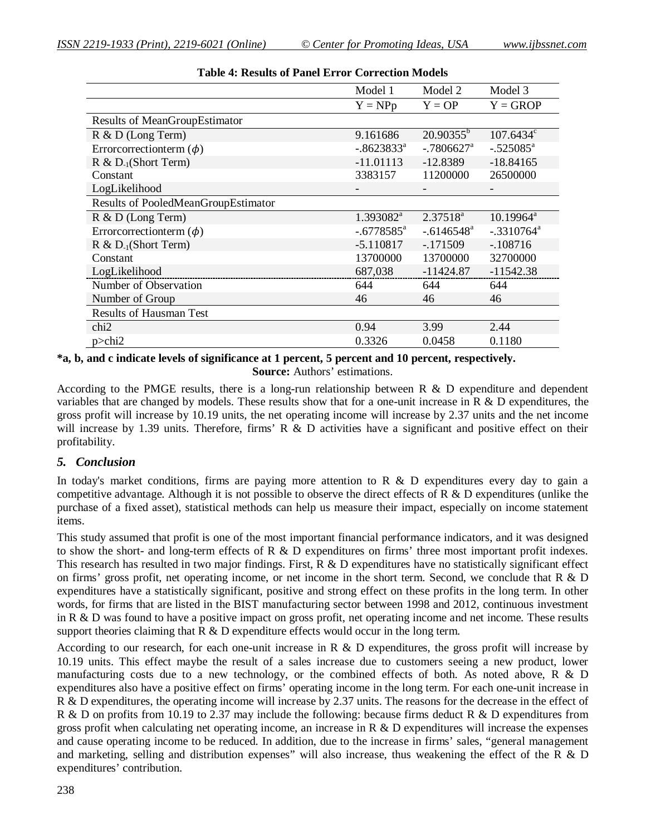|                                     | Model 1                  | Model 2                  | Model 3                 |
|-------------------------------------|--------------------------|--------------------------|-------------------------|
|                                     | $Y = NPp$                | $Y = OP$                 | $Y = GROP$              |
| Results of MeanGroupEstimator       |                          |                          |                         |
| $R \& D$ (Long Term)                | 9.161686                 | $20.90355^{b}$           | $107.6434^c$            |
| Errorcorrectionterm $(\phi)$        | $-.8623833a$             | $-.7806627$ <sup>a</sup> | $-.525085$ <sup>a</sup> |
| $R \& D_{-1}(Short Term)$           | $-11.01113$              | $-12.8389$               | $-18.84165$             |
| Constant                            | 3383157                  | 11200000                 | 26500000                |
| LogLikelihood                       |                          | $\overline{\phantom{a}}$ |                         |
| Results of PooledMeanGroupEstimator |                          |                          |                         |
| $R \& D$ (Long Term)                | 1.393082 <sup>a</sup>    | $2.37518^{a}$            | $10.19964^a$            |
| Errorcorrectionterm $(\phi)$        | $-.6778585$ <sup>a</sup> | $-.6146548a$             | $-.3310764^a$           |
| $R \& D_{-1}(Short Term)$           | $-5.110817$              | $-171509$                | $-108716$               |
| Constant                            | 13700000                 | 13700000                 | 32700000                |
| LogLikelihood                       | 687,038                  | $-11424.87$              | $-11542.38$             |
| Number of Observation               | 644                      | 644                      | 644                     |
| Number of Group                     | 46                       | 46                       | 46                      |
| <b>Results of Hausman Test</b>      |                          |                          |                         |
| chi <sub>2</sub>                    | 0.94                     | 3.99                     | 2.44                    |
| $p >$ chi2                          | 0.3326                   | 0.0458                   | 0.1180                  |

#### **\*a, b, and c indicate levels of significance at 1 percent, 5 percent and 10 percent, respectively. Source:** Authors' estimations.

According to the PMGE results, there is a long-run relationship between R & D expenditure and dependent variables that are changed by models. These results show that for a one-unit increase in R & D expenditures, the gross profit will increase by 10.19 units, the net operating income will increase by 2.37 units and the net income will increase by 1.39 units. Therefore, firms' R & D activities have a significant and positive effect on their profitability.

### *5. Conclusion*

In today's market conditions, firms are paying more attention to R  $\&$  D expenditures every day to gain a competitive advantage. Although it is not possible to observe the direct effects of R & D expenditures (unlike the purchase of a fixed asset), statistical methods can help us measure their impact, especially on income statement items.

This study assumed that profit is one of the most important financial performance indicators, and it was designed to show the short- and long-term effects of R & D expenditures on firms' three most important profit indexes. This research has resulted in two major findings. First,  $\overline{R} \& D$  expenditures have no statistically significant effect on firms' gross profit, net operating income, or net income in the short term. Second, we conclude that R & D expenditures have a statistically significant, positive and strong effect on these profits in the long term. In other words, for firms that are listed in the BIST manufacturing sector between 1998 and 2012, continuous investment in R & D was found to have a positive impact on gross profit, net operating income and net income. These results support theories claiming that  $R \& D$  expenditure effects would occur in the long term.

According to our research, for each one-unit increase in R & D expenditures, the gross profit will increase by 10.19 units. This effect maybe the result of a sales increase due to customers seeing a new product, lower manufacturing costs due to a new technology, or the combined effects of both. As noted above, R & D expenditures also have a positive effect on firms' operating income in the long term. For each one-unit increase in R & D expenditures, the operating income will increase by 2.37 units. The reasons for the decrease in the effect of R & D on profits from 10.19 to 2.37 may include the following: because firms deduct R & D expenditures from gross profit when calculating net operating income, an increase in R & D expenditures will increase the expenses and cause operating income to be reduced. In addition, due to the increase in firms' sales, "general management and marketing, selling and distribution expenses" will also increase, thus weakening the effect of the R & D expenditures' contribution.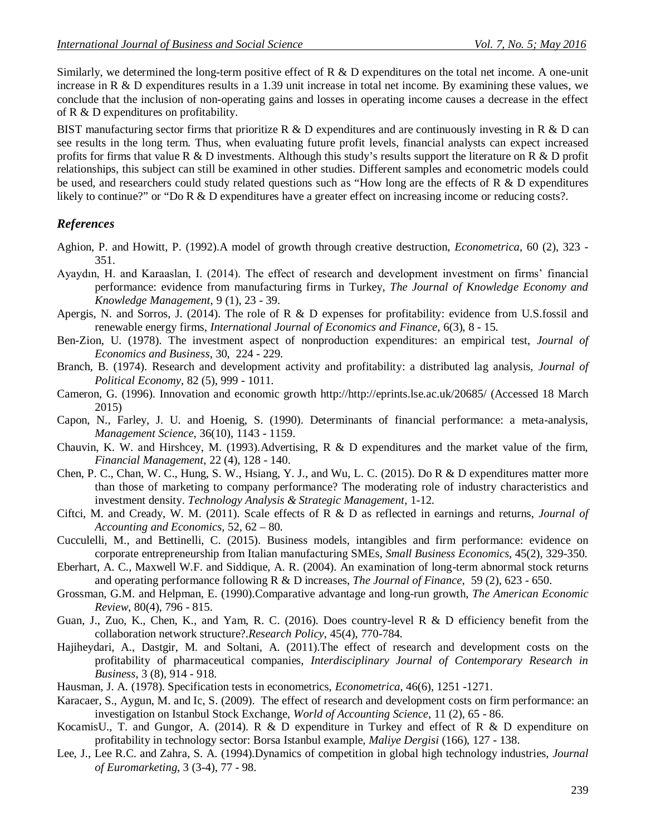Similarly, we determined the long-term positive effect of R & D expenditures on the total net income. A one-unit increase in R & D expenditures results in a 1.39 unit increase in total net income. By examining these values, we conclude that the inclusion of non-operating gains and losses in operating income causes a decrease in the effect of R & D expenditures on profitability.

BIST manufacturing sector firms that prioritize R  $\&$  D expenditures and are continuously investing in R  $\&$  D can see results in the long term. Thus, when evaluating future profit levels, financial analysts can expect increased profits for firms that value R & D investments. Although this study's results support the literature on R & D profit relationships, this subject can still be examined in other studies. Different samples and econometric models could be used, and researchers could study related questions such as "How long are the effects of R & D expenditures likely to continue?" or "Do R & D expenditures have a greater effect on increasing income or reducing costs?.

#### *References*

- Aghion, P. and Howitt, P. (1992).A model of growth through creative destruction, *Econometrica,* 60 (2), 323 351.
- Ayaydın, H. and Karaaslan, I. (2014). The effect of research and development investment on firms' financial performance: evidence from manufacturing firms in Turkey, *The Journal of Knowledge Economy and Knowledge Management*, 9 (1), 23 - 39.
- Apergis, N. and Sorros, J. (2014). The role of R & D expenses for profitability: evidence from U.S.fossil and renewable energy firms, *International Journal of Economics and Finance*, 6(3), 8 - 15.
- Ben-Zion, U. (1978). The investment aspect of nonproduction expenditures: an empirical test, *Journal of Economics and Business*, 30, 224 - 229.
- Branch, B. (1974). Research and development activity and profitability: a distributed lag analysis, *Journal of Political Economy*, 82 (5), 999 - 1011.
- Cameron, G. (1996). Innovation and economic growth http://http://eprints.lse.ac.uk/20685/ (Accessed 18 March 2015)
- Capon, N., Farley, J. U. and Hoenig, S. (1990). Determinants of financial performance: a meta-analysis, *Management Science*, 36(10), 1143 - 1159.
- Chauvin, K. W. and Hirshcey, M. (1993).Advertising, R & D expenditures and the market value of the firm, *Financial Management*, 22 (4), 128 - 140.
- Chen, P. C., Chan, W. C., Hung, S. W., Hsiang, Y. J., and Wu, L. C. (2015). Do R & D expenditures matter more than those of marketing to company performance? The moderating role of industry characteristics and investment density. *Technology Analysis & Strategic Management*, 1-12.
- Ciftci, M. and Cready, W. M. (2011). Scale effects of R & D as reflected in earnings and returns, *Journal of Accounting and Economics,* 52, 62 – 80.
- Cucculelli, M., and Bettinelli, C. (2015). Business models, intangibles and firm performance: evidence on corporate entrepreneurship from Italian manufacturing SMEs, *Small Business Economics*, 45(2), 329-350.
- Eberhart, A. C., Maxwell W.F. and Siddique, A. R. (2004). An examination of long-term abnormal stock returns and operating performance following R & D increases, *The Journal of Finance*, 59 (2), 623 - 650.
- Grossman, G.M. and Helpman, E. (1990).Comparative advantage and long-run growth, *The American Economic Review*, 80(4), 796 - 815.
- Guan, J., Zuo, K., Chen, K., and Yam, R. C. (2016). Does country-level R & D efficiency benefit from the collaboration network structure?.*Research Policy*, 45(4), 770-784.
- Hajiheydari, A., Dastgir, M. and Soltani, A. (2011).The effect of research and development costs on the profitability of pharmaceutical companies, *Interdisciplinary Journal of Contemporary Research in Business*, 3 (8), 914 - 918.
- Hausman, J. A. (1978). Specification tests in econometrics, *Econometrica*, 46(6), 1251 -1271.
- Karacaer, S., Aygun, M. and Ic, S. (2009). The effect of research and development costs on firm performance: an investigation on Istanbul Stock Exchange, *World of Accounting Science*, 11 (2), 65 - 86.
- KocamisU., T. and Gungor, A. (2014). R & D expenditure in Turkey and effect of R & D expenditure on profitability in technology sector: Borsa Istanbul example, *Maliye Dergisi* (166), 127 - 138.
- Lee, J., Lee R.C. and Zahra, S. A. (1994).Dynamics of competition in global high technology industries, *Journal of Euromarketing*, 3 (3-4), 77 - 98.